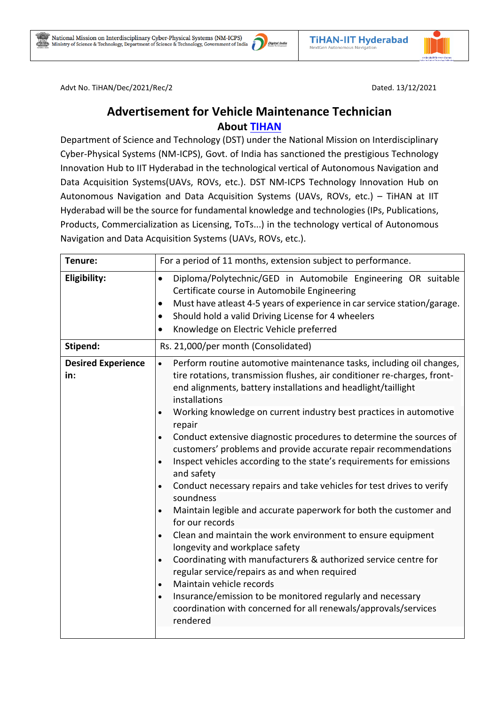

Advt No. TiHAN/Dec/2021/Rec/2 Dated. 13/12/2021

## **Advertisement for Vehicle Maintenance Technician About [TIHAN](https://tihan.iith.ac.in/)**

Department of Science and Technology (DST) under the National Mission on Interdisciplinary Cyber-Physical Systems (NM-ICPS), Govt. of India has sanctioned the prestigious Technology Innovation Hub to IIT Hyderabad in the technological vertical of Autonomous Navigation and Data Acquisition Systems(UAVs, ROVs, etc.). DST NM-ICPS Technology Innovation Hub on Autonomous Navigation and Data Acquisition Systems (UAVs, ROVs, etc.) – TiHAN at IIT Hyderabad will be the source for fundamental knowledge and technologies (IPs, Publications, Products, Commercialization as Licensing, ToTs...) in the technology vertical of Autonomous Navigation and Data Acquisition Systems (UAVs, ROVs, etc.).

| Tenure:                          | For a period of 11 months, extension subject to performance.                                                                                                                                                                                                                                                                                                                                                                                                                                                                                                                                                                                                                                                                                                                                                                                                                                                                                                                                                                                                                                                                                                                                                             |
|----------------------------------|--------------------------------------------------------------------------------------------------------------------------------------------------------------------------------------------------------------------------------------------------------------------------------------------------------------------------------------------------------------------------------------------------------------------------------------------------------------------------------------------------------------------------------------------------------------------------------------------------------------------------------------------------------------------------------------------------------------------------------------------------------------------------------------------------------------------------------------------------------------------------------------------------------------------------------------------------------------------------------------------------------------------------------------------------------------------------------------------------------------------------------------------------------------------------------------------------------------------------|
| Eligibility:                     | Diploma/Polytechnic/GED in Automobile Engineering OR suitable<br>$\bullet$<br>Certificate course in Automobile Engineering<br>Must have atleast 4-5 years of experience in car service station/garage.<br>$\bullet$<br>Should hold a valid Driving License for 4 wheelers<br>$\bullet$<br>Knowledge on Electric Vehicle preferred<br>$\bullet$                                                                                                                                                                                                                                                                                                                                                                                                                                                                                                                                                                                                                                                                                                                                                                                                                                                                           |
| Stipend:                         | Rs. 21,000/per month (Consolidated)                                                                                                                                                                                                                                                                                                                                                                                                                                                                                                                                                                                                                                                                                                                                                                                                                                                                                                                                                                                                                                                                                                                                                                                      |
| <b>Desired Experience</b><br>in: | Perform routine automotive maintenance tasks, including oil changes,<br>$\bullet$<br>tire rotations, transmission flushes, air conditioner re-charges, front-<br>end alignments, battery installations and headlight/taillight<br>installations<br>Working knowledge on current industry best practices in automotive<br>repair<br>Conduct extensive diagnostic procedures to determine the sources of<br>$\bullet$<br>customers' problems and provide accurate repair recommendations<br>Inspect vehicles according to the state's requirements for emissions<br>$\bullet$<br>and safety<br>Conduct necessary repairs and take vehicles for test drives to verify<br>$\bullet$<br>soundness<br>Maintain legible and accurate paperwork for both the customer and<br>for our records<br>Clean and maintain the work environment to ensure equipment<br>longevity and workplace safety<br>Coordinating with manufacturers & authorized service centre for<br>$\bullet$<br>regular service/repairs as and when required<br>Maintain vehicle records<br>$\bullet$<br>Insurance/emission to be monitored regularly and necessary<br>$\bullet$<br>coordination with concerned for all renewals/approvals/services<br>rendered |